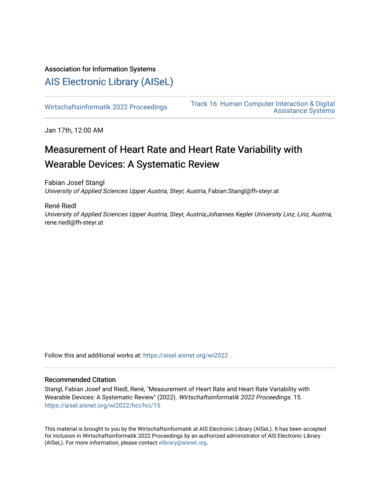# Association for Information Systems

# [AIS Electronic Library \(AISeL\)](https://aisel.aisnet.org/)

Wirtschaftsinformatik 2022 Proceedings<br>
Accidence Systems [Assistance Systems](https://aisel.aisnet.org/wi2022/hci) 

Jan 17th, 12:00 AM

# Measurement of Heart Rate and Heart Rate Variability with Wearable Devices: A Systematic Review

Fabian Josef Stangl University of Applied Sciences Upper Austria, Steyr, Austria, Fabian.Stangl@fh-steyr.at

René Riedl

University of Applied Sciences Upper Austria, Steyr, Austria;Johannes Kepler University Linz, Linz, Austria, rene.riedl@fh-steyr.at

Follow this and additional works at: [https://aisel.aisnet.org/wi2022](https://aisel.aisnet.org/wi2022?utm_source=aisel.aisnet.org%2Fwi2022%2Fhci%2Fhci%2F15&utm_medium=PDF&utm_campaign=PDFCoverPages) 

# Recommended Citation

Stangl, Fabian Josef and Riedl, René, "Measurement of Heart Rate and Heart Rate Variability with Wearable Devices: A Systematic Review" (2022). Wirtschaftsinformatik 2022 Proceedings. 15. [https://aisel.aisnet.org/wi2022/hci/hci/15](https://aisel.aisnet.org/wi2022/hci/hci/15?utm_source=aisel.aisnet.org%2Fwi2022%2Fhci%2Fhci%2F15&utm_medium=PDF&utm_campaign=PDFCoverPages) 

This material is brought to you by the Wirtschaftsinformatik at AIS Electronic Library (AISeL). It has been accepted for inclusion in Wirtschaftsinformatik 2022 Proceedings by an authorized administrator of AIS Electronic Library (AISeL). For more information, please contact [elibrary@aisnet.org](mailto:elibrary@aisnet.org%3E).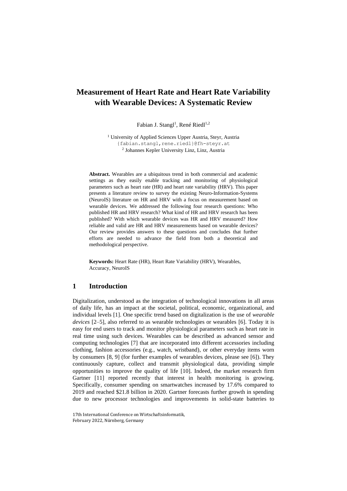# **Measurement of Heart Rate and Heart Rate Variability with Wearable Devices: A Systematic Review**

Fabian J. Stangl<sup>1</sup>, René Riedl<sup>1,2</sup>

<sup>1</sup> University of Applied Sciences Upper Austria, Steyr, Austria {fabian.stangl,rene.riedl}@fh-steyr.at 2 Johannes Kepler University Linz, Linz, Austria

**Abstract.** Wearables are a ubiquitous trend in both commercial and academic settings as they easily enable tracking and monitoring of physiological parameters such as heart rate (HR) and heart rate variability (HRV). This paper presents a literature review to survey the existing Neuro-Information-Systems (NeuroIS) literature on HR and HRV with a focus on measurement based on wearable devices. We addressed the following four research questions: Who published HR and HRV research? What kind of HR and HRV research has been published? With which wearable devices was HR and HRV measured? How reliable and valid are HR and HRV measurements based on wearable devices? Our review provides answers to these questions and concludes that further efforts are needed to advance the field from both a theoretical and methodological perspective.

**Keywords:** Heart Rate (HR), Heart Rate Variability (HRV), Wearables, Accuracy, NeuroIS

#### **1 Introduction**

Digitalization, understood as the integration of technological innovations in all areas of daily life, has an impact at the societal, political, economic, organizational, and individual levels [1]. One specific trend based on digitalization is the use of *wearable devices* [2–5], also referred to as wearable technologies or wearables [6]. Today it is easy for end users to track and monitor physiological parameters such as heart rate in real time using such devices. Wearables can be described as advanced sensor and computing technologies [7] that are incorporated into different accessories including clothing, fashion accessories (e.g., watch, wristband), or other everyday items worn by consumers [8, 9] (for further examples of wearables devices, please see [6]). They continuously capture, collect and transmit physiological data, providing simple opportunities to improve the quality of life [10]. Indeed, the market research firm Gartner [11] reported recently that interest in health monitoring is growing. Specifically, consumer spending on smartwatches increased by 17.6% compared to 2019 and reached \$21.8 billion in 2020. Gartner forecasts further growth in spending due to new processor technologies and improvements in solid-state batteries to

<sup>17</sup>th International Conference on Wirtschaftsinformatik, February 2022, Nürnberg, Germany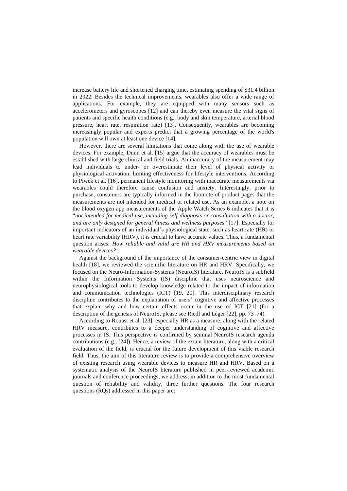increase battery life and shortened charging time, estimating spending of \$31.4 billion in 2022. Besides the technical improvements, wearables also offer a wide range of applications. For example, they are equipped with many sensors such as accelerometers and gyroscopes [12] and can thereby even measure the vital signs of patients and specific health conditions (e.g., body and skin temperature, arterial blood pressure, heart rate, respiration rate) [13]. Consequently, wearables are becoming increasingly popular and experts predict that a growing percentage of the world's population will own at least one device [14].

However, there are several limitations that come along with the use of wearable devices. For example, Dunn et al. [15] argue that the accuracy of wearables must be established with large clinical and field trials. An inaccuracy of the measurement may lead individuals to under- or overestimate their level of physical activity or physiological activation, limiting effectiveness for lifestyle interventions. According to Piwek et al. [16], permanent lifestyle monitoring with inaccurate measurements via wearables could therefore cause confusion and anxiety. Interestingly, prior to purchase, consumers are typically informed in the footnote of product pages that the measurements are not intended for medical or related use. As an example, a note on the blood oxygen app measurements of the Apple Watch Series 6 indicates that it is "*not intended for medical use, including self-diagnosis or consultation with a doctor, and are only designed for general fitness and wellness purposes*" [17]. Especially for important indicators of an individual's physiological state, such as heart rate (HR) or heart rate variability (HRV), it is crucial to have accurate values. Thus, a fundamental question arises: *How reliable and valid are HR and HRV measurements based on wearable devices?*

Against the background of the importance of the consumer-centric view in digital health [18], we reviewed the scientific literature on HR and HRV. Specifically, we focused on the Neuro-Information-Systems (NeuroIS) literature. NeuroIS is a subfield within the Information Systems (IS) discipline that uses neuroscience and neurophysiological tools to develop knowledge related to the impact of information and communication technologies (ICT) [19, 20]. This interdisciplinary research discipline contributes to the explanation of users' cognitive and affective processes that explain why and how certain effects occur in the use of ICT [21] (for a description of the genesis of NeuroIS, please see Riedl and Léger [22], pp. 73–74).

According to Rouast et al. [23], especially HR as a measure, along with the related HRV measure, contributes to a deeper understanding of cognitive and affective processes in IS. This perspective is confirmed by seminal NeuroIS research agenda contributions (e.g., [24]). Hence, a review of the extant literature, along with a critical evaluation of the field, is crucial for the future development of this viable research field. Thus, the aim of this literature review is to provide a comprehensive overview of existing research using wearable devices to measure HR and HRV. Based on a systematic analysis of the NeuroIS literature published in peer-reviewed academic journals and conference proceedings, we address, in addition to the most fundamental question of reliability and validity, three further questions. The four research questions (RQs) addressed in this paper are: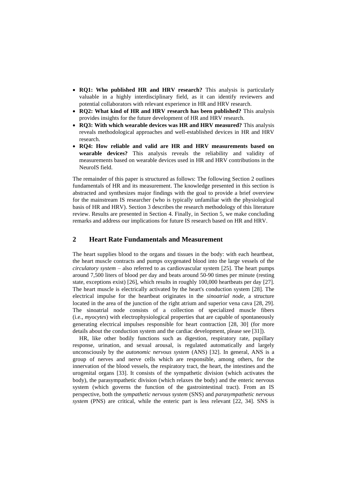- **RQ1: Who published HR and HRV research?** This analysis is particularly valuable in a highly interdisciplinary field, as it can identify reviewers and potential collaborators with relevant experience in HR and HRV research.
- **RQ2: What kind of HR and HRV research has been published?** This analysis provides insights for the future development of HR and HRV research*.*
- **RQ3: With which wearable devices was HR and HRV measured?** This analysis reveals methodological approaches and well-established devices in HR and HRV research.
- **RQ4: How reliable and valid are HR and HRV measurements based on wearable devices?** This analysis reveals the reliability and validity of measurements based on wearable devices used in HR and HRV contributions in the NeuroIS field.

The remainder of this paper is structured as follows: The following Section [2](#page-3-0) outlines fundamentals of HR and its measurement. The knowledge presented in this section is abstracted and synthesizes major findings with the goal to provide a brief overview for the mainstream IS researcher (who is typically unfamiliar with the physiological basis of HR and HRV). Sectio[n 3](#page-5-0) describes the research methodology of this literature review. Results are presented in Section [4.](#page-6-0) Finally, in Section [5,](#page-11-0) we make concluding remarks and address our implications for future IS research based on HR and HRV.

## <span id="page-3-0"></span>**2 Heart Rate Fundamentals and Measurement**

The heart supplies blood to the organs and tissues in the body: with each heartbeat, the heart muscle contracts and pumps oxygenated blood into the large vessels of the *circulatory system* – also referred to as cardiovascular system [25]. The heart pumps around 7,500 liters of blood per day and beats around 50-90 times per minute (resting state, exceptions exist) [26], which results in roughly 100,000 heartbeats per day [27]. The heart muscle is electrically activated by the heart's conduction system [28]. The electrical impulse for the heartbeat originates in the *sinoatrial node*, a structure located in the area of the junction of the right atrium and superior vena cava [28, 29]. The sinoatrial node consists of a collection of specialized muscle fibers (i.e., *myocytes*) with electrophysiological properties that are capable of spontaneously generating electrical impulses responsible for heart contraction [28, 30] (for more details about the conduction system and the cardiac development, please see [31]).

HR, like other bodily functions such as digestion, respiratory rate, pupillary response, urination, and sexual arousal, is regulated automatically and largely unconsciously by the *autonomic nervous system* (ANS) [32]. In general, ANS is a group of nerves and nerve cells which are responsible, among others, for the innervation of the blood vessels, the respiratory tract, the heart, the intestines and the urogenital organs [33]. It consists of the sympathetic division (which activates the body), the parasympathetic division (which relaxes the body) and the enteric nervous system (which governs the function of the gastrointestinal tract). From an IS perspective, both the *sympathetic nervous system* (SNS) and *parasympathetic nervous system* (PNS) are critical, while the enteric part is less relevant [22, 34]. SNS is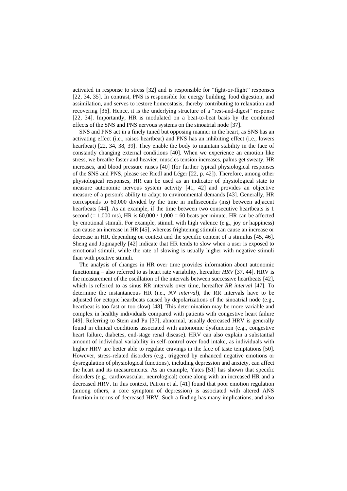activated in response to stress [32] and is responsible for "fight-or-flight" responses [22, 34, 35]. In contrast, PNS is responsible for energy building, food digestion, and assimilation, and serves to restore homeostasis, thereby contributing to relaxation and recovering [36]. Hence, it is the underlying structure of a "rest-and-digest" response [22, 34]. Importantly, HR is modulated on a beat-to-beat basis by the combined effects of the SNS and PNS nervous systems on the sinoatrial node [37].

SNS and PNS act in a finely tuned but opposing manner in the heart, as SNS has an activating effect (i.e., raises heartbeat) and PNS has an inhibiting effect (i.e., lowers heartbeat) [22, 34, 38, 39]. They enable the body to maintain stability in the face of constantly changing external conditions [40]. When we experience an emotion like stress, we breathe faster and heavier, muscles tension increases, palms get sweaty, HR increases, and blood pressure raises [40] (for further typical physiological responses of the SNS and PNS, please see Riedl and Léger [22, p. 42]). Therefore, among other physiological responses, HR can be used as an indicator of physiological state to measure autonomic nervous system activity [41, 42] and provides an objective measure of a person's ability to adapt to environmental demands [43]. Generally, HR corresponds to 60,000 divided by the time in milliseconds (ms) between adjacent heartbeats [44]. As an example, if the time between two consecutive heartbeats is 1 second (= 1,000 ms), HR is  $60,000 / 1,000 = 60$  beats per minute. HR can be affected by emotional stimuli. For example, stimuli with high valence (e.g., joy or happiness) can cause an increase in HR [45], whereas frightening stimuli can cause an increase or decrease in HR, depending on context and the specific content of a stimulus [45, 46]. Sheng and Joginapelly [42] indicate that HR tends to slow when a user is exposed to emotional stimuli, while the rate of slowing is usually higher with negative stimuli than with positive stimuli.

The analysis of changes in HR over time provides information about autonomic functioning – also referred to as heart rate variability, hereafter *HRV* [37, 44]. HRV is the measurement of the oscillation of the intervals between successive heartbeats [42], which is referred to as sinus RR intervals over time*,* hereafter *RR interval* [47]. To determine the instantaneous HR (i.e., *NN interval*), the RR intervals have to be adjusted for ectopic heartbeats caused by depolarizations of the sinoatrial node (e.g., heartbeat is too fast or too slow) [48]. This determination may be more variable and complex in healthy individuals compared with patients with congestive heart failure [49]. Referring to Stein and Pu [37], abnormal, usually decreased HRV is generally found in clinical conditions associated with autonomic dysfunction (e.g., congestive heart failure, diabetes, end-stage renal disease). HRV can also explain a substantial amount of individual variability in self-control over food intake, as individuals with higher HRV are better able to regulate cravings in the face of taste temptations [50]. However, stress-related disorders (e.g., triggered by enhanced negative emotions or dysregulation of physiological functions), including depression and anxiety, can affect the heart and its measurements. As an example, Yates [51] has shown that specific disorders (e.g., cardiovascular, neurological) come along with an increased HR and a decreased HRV. In this context, Patron et al. [41] found that poor emotion regulation (among others, a core symptom of depression) is associated with altered ANS function in terms of decreased HRV. Such a finding has many implications, and also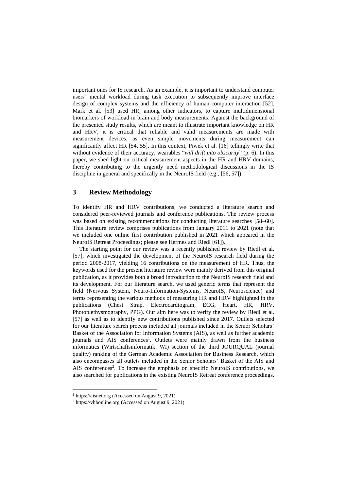important ones for IS research. As an example, it is important to understand computer users' mental workload during task execution to subsequently improve interface design of complex systems and the efficiency of human-computer interaction [52]. Mark et al. [53] used HR, among other indicators, to capture multidimensional biomarkers of workload in brain and body measurements. Against the background of the presented study results, which are meant to illustrate important knowledge on HR and HRV, it is critical that reliable and valid measurements are made with measurement devices, as even simple movements during measurement can significantly affect HR [54, 55]. In this context, Piwek et al. [16] tellingly write that without evidence of their accuracy, wearables "*will drift into obscurity*" (p. 6). In this paper, we shed light on critical measurement aspects in the HR and HRV domains, thereby contributing to the urgently need methodological discussions in the IS discipline in general and specifically in the NeuroIS field (e.g., [56, 57]).

## <span id="page-5-0"></span>**3 Review Methodology**

To identify HR and HRV contributions, we conducted a literature search and considered peer-reviewed journals and conference publications. The review process was based on existing recommendations for conducting literature searches [58–60]. This literature review comprises publications from January 2011 to 2021 (note that we included one online first contribution published in 2021 which appeared in the NeuroIS Retreat Proceedings; please see Hermes and Riedl [61]).

The starting point for our review was a recently published review by Riedl et al. [57], which investigated the development of the NeuroIS research field during the period 2008-2017, yielding 16 contributions on the measurement of HR. Thus, the keywords used for the present literature review were mainly derived from this original publication, as it provides both a broad introduction to the NeuroIS research field and its development. For our literature search, we used generic terms that represent the field (Nervous System, Neuro-Information-Systems, NeuroIS, Neuroscience) and terms representing the various methods of measuring HR and HRV highlighted in the publications (Chest Strap, Electrocardiogram, ECG, Heart, HR, HRV, Photoplethysmography, PPG). Our aim here was to verify the review by Riedl et al. [57] as well as to identify new contributions published since 2017. Outlets selected for our literature search process included all journals included in the Senior Scholars' Basket of the Association for Information Systems (AIS), as well as further academic journals and AIS conferences<sup>1</sup>. Outlets were mainly drawn from the business informatics (Wirtschaftsinformatik: WI) section of the third JOURQUAL (journal quality) ranking of the German Academic Association for Business Research, which also encompasses all outlets included in the Senior Scholars' Basket of the AIS and AIS conferences<sup>2</sup>. To increase the emphasis on specific NeuroIS contributions, we also searched for publications in the existing NeuroIS Retreat conference proceedings.

<sup>1</sup> [https://aisnet.org](https://aisnet.org/) (Accessed on August 9, 2021)

<sup>2</sup> https://vhbonline.org (Accessed on August 9, 2021)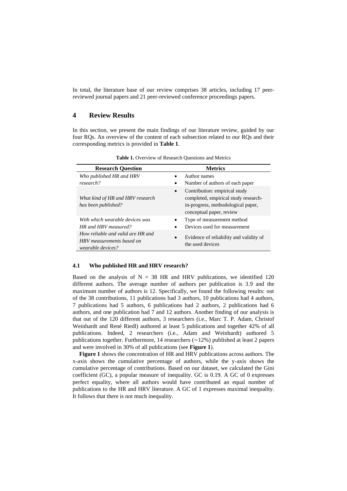In total, the literature base of our review comprises 38 articles, including 17 peerreviewed journal papers and 21 peer-reviewed conference proceedings papers.

## <span id="page-6-0"></span>**4 Review Results**

In this section, we present the main findings of our literature review, guided by our four RQs. An overview of the content of each subsection related to our RQs and their corresponding metrics is provided in **[Table 1](#page-6-1)**.

<span id="page-6-1"></span>

| <b>Research Question</b>                                                            | <b>Metrics</b>                                                                                                                                       |
|-------------------------------------------------------------------------------------|------------------------------------------------------------------------------------------------------------------------------------------------------|
| Who published HR and HRV                                                            | Author names                                                                                                                                         |
| research?                                                                           | Number of authors of each paper                                                                                                                      |
| What kind of HR and HRV research<br>has been published?                             | Contribution: empirical study<br>$\bullet$<br>completed, empirical study research-<br>in-progress, methodological paper,<br>conceptual paper, review |
| With which wearable devices was                                                     | Type of measurement method                                                                                                                           |
| HR and HRV measured?                                                                | Devices used for measurement                                                                                                                         |
| How reliable and valid are HR and<br>HRV measurements based on<br>wearable devices? | Evidence of reliability and validity of<br>$\bullet$<br>the used devices                                                                             |

**Table 1.** Overview of Research Questions and Metrics

#### **4.1 Who published HR and HRV research?**

Based on the analysis of  $N = 38$  HR and HRV publications, we identified 120 different authors. The average number of authors per publication is 3.9 and the maximum number of authors is 12. Specifically, we found the following results: out of the 38 contributions, 11 publications had 3 authors, 10 publications had 4 authors, 7 publications had 5 authors, 6 publications had 2 authors, 2 publications had 6 authors, and one publication had 7 and 12 authors. Another finding of our analysis is that out of the 120 different authors, 3 researchers (i.e., Marc T. P. Adam, Christof Weinhardt and René Riedl) authored at least 5 publications and together 42% of all publications. Indeed, 2 researchers (i.e., Adam and Weinhardt) authored 5 publications together. Furthermore, 14 researchers (∼12%) published at least 2 papers and were involved in 30% of all publications (see **[Figure 1](#page-7-0)**).

**[Figure 1](#page-7-0)** shows the concentration of HR and HRV publications across authors. The x-axis shows the cumulative percentage of authors, while the y-axis shows the cumulative percentage of contributions. Based on our dataset, we calculated the Gini coefficient (GC), a popular measure of inequality. GC is 0.19. A GC of 0 expresses perfect equality, where all authors would have contributed an equal number of publications to the HR and HRV literature. A GC of 1 expresses maximal inequality. It follows that there is not much inequality.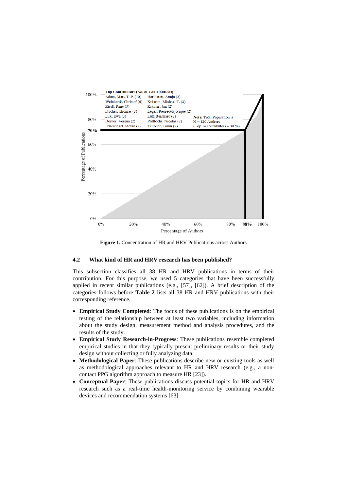

**Figure 1.** Concentration of HR and HRV Publications across Authors

#### <span id="page-7-0"></span>**4.2 What kind of HR and HRV research has been published?**

This subsection classifies all 38 HR and HRV publications in terms of their contribution. For this purpose, we used 5 categories that have been successfully applied in recent similar publications (e.g., [57], [62]). A brief description of the categories follows before **[Table 2](#page-8-0)** lists all 38 HR and HRV publications with their corresponding reference.

- **Empirical Study Completed**: The focus of these publications is on the empirical testing of the relationship between at least two variables, including information about the study design, measurement method and analysis procedures, and the results of the study.
- **Empirical Study Research-in-Progress**: These publications resemble completed empirical studies in that they typically present preliminary results or their study design without collecting or fully analyzing data.
- **Methodological Paper**: These publications describe new or existing tools as well as methodological approaches relevant to HR and HRV research (e.g., a noncontact PPG algorithm approach to measure HR [23]).
- **Conceptual Paper**: These publications discuss potential topics for HR and HRV research such as a real-time health-monitoring service by combining wearable devices and recommendation systems [63].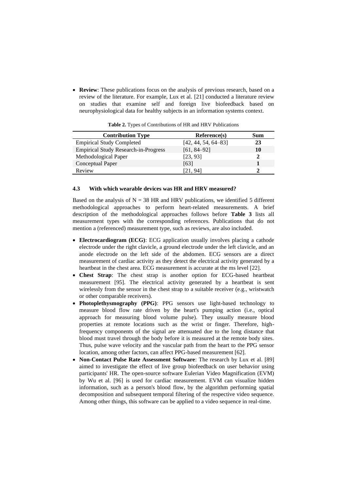• **Review**: These publications focus on the analysis of previous research, based on a review of the literature. For example, Lux et al. [21] conducted a literature review on studies that examine self and foreign live biofeedback based on neurophysiological data for healthy subjects in an information systems context.

<span id="page-8-0"></span>

| <b>Contribution Type</b>                    | Reference(s)          | Sum |
|---------------------------------------------|-----------------------|-----|
| <b>Empirical Study Completed</b>            | $[42, 44, 54, 64-83]$ | 23  |
| <b>Empirical Study Research-in-Progress</b> | $[61, 84 - 92]$       | 10  |
| Methodological Paper                        | [23, 93]              |     |
| Conceptual Paper                            | [63]                  |     |
| Review                                      | (21.94)               |     |

**Table 2.** Types of Contributions of HR and HRV Publications

#### **4.3 With which wearable devices was HR and HRV measured?**

Based on the analysis of  $N = 38$  HR and HRV publications, we identified 5 different methodological approaches to perform heart-related measurements. A brief description of the methodological approaches follows before **[Table 3](#page-9-0)** lists all measurement types with the corresponding references. Publications that do not mention a (referenced) measurement type, such as reviews, are also included.

- **Electrocardiogram (ECG)**: ECG application usually involves placing a cathode electrode under the right clavicle, a ground electrode under the left clavicle, and an anode electrode on the left side of the abdomen. ECG sensors are a direct measurement of cardiac activity as they detect the electrical activity generated by a heartbeat in the chest area. ECG measurement is accurate at the ms level [22].
- **Chest Strap**: The chest strap is another option for ECG-based heartbeat measurement [95]. The electrical activity generated by a heartbeat is sent wirelessly from the sensor in the chest strap to a suitable receiver (e.g., wristwatch or other comparable receivers).
- **Photoplethysmography (PPG)**: PPG sensors use light-based technology to measure blood flow rate driven by the heart's pumping action (i.e., optical approach for measuring blood volume pulse). They usually measure blood properties at remote locations such as the wrist or finger. Therefore, highfrequency components of the signal are attenuated due to the long distance that blood must travel through the body before it is measured at the remote body sites. Thus, pulse wave velocity and the vascular path from the heart to the PPG sensor location, among other factors, can affect PPG-based measurement [62].
- **Non-Contact Pulse Rate Assessment Software**: The research by Lux et al. [89] aimed to investigate the effect of live group biofeedback on user behavior using participants' HR. The open-source software Eulerian Video Magnification (EVM) by Wu et al. [96] is used for cardiac measurement. EVM can visualize hidden information, such as a person's blood flow, by the algorithm performing spatial decomposition and subsequent temporal filtering of the respective video sequence. Among other things, this software can be applied to a video sequence in real-time.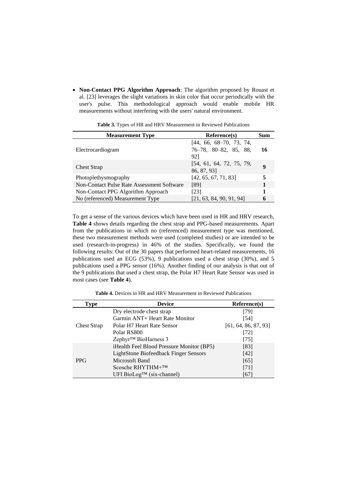• **Non-Contact PPG Algorithm Approach**: The algorithm proposed by Rouast et al. [23] leverages the slight variations in skin color that occur periodically with the user's pulse. This methodological approach would enable mobile HR measurements without interfering with the users' natural environment.

<span id="page-9-0"></span>

| <b>Measurement Type</b>                    | Reference(s)                                                          | <b>Sum</b> |
|--------------------------------------------|-----------------------------------------------------------------------|------------|
| Electrocardiogram                          | $[44, 66, 68-70, 73, 74,$<br>$76-78$ , $80-82$ , $85$ , $88$ ,<br>921 | 16         |
| <b>Chest Strap</b>                         | [54, 61, 64, 72, 75, 79,<br>86, 87, 93]                               | 9          |
| Photoplethysmography                       | [42, 65, 67, 71, 83]                                                  | 5          |
| Non-Contact Pulse Rate Assessment Software | [89]                                                                  |            |
| Non-Contact PPG Algorithm Approach         | [23]                                                                  |            |
| No (referenced) Measurement Type           | [21, 63, 84, 90, 91, 94]                                              | 6          |

**Table 3.** Types of HR and HRV Measurement in Reviewed Publications

To get a sense of the various devices which have been used in HR and HRV research, **[Table 4](#page-9-1)** shows details regarding the chest strap and PPG-based measurements. Apart from the publications in which no (referenced) measurement type was mentioned, these two measurement methods were used (completed studies) or are intended to be used (research-in-progress) in 46% of the studies. Specifically, we found the following results: Out of the 30 papers that performed heart-related measurements, 16 publications used an ECG (53%), 9 publications used a chest strap (30%), and 5 publications used a PPG sensor (16%). Another finding of our analysis is that out of the 9 publications that used a chest strap, the Polar H7 Heart Rate Sensor was used in most cases (see **[Table 4](#page-9-1)**).

**Table 4.** Devices in HR and HRV Measurement in Reviewed Publications

<span id="page-9-1"></span>

| <b>Type</b>        | <b>Device</b>                             | Reference(s)         |
|--------------------|-------------------------------------------|----------------------|
| <b>Chest Strap</b> | Dry electrode chest strap                 | [79]                 |
|                    | Garmin ANT+ Heart Rate Monitor            | [54]                 |
|                    | Polar H7 Heart Rate Sensor                | [61, 64, 86, 87, 93] |
|                    | Polar RS800                               | [72]                 |
|                    | Zephyr <sup>™</sup> BioHarness 3          | $[75]$               |
| <b>PPG</b>         | iHealth Feel Blood Pressure Monitor (BP5) | [83]                 |
|                    | LightStone Biofeedback Finger Sensors     | [42]                 |
|                    | Microsoft Band                            | [65]                 |
|                    | Scosche RHYTHM+™                          | [71]                 |
|                    | UFI BioLog <sup>TM</sup> (six-channel)    | [67]                 |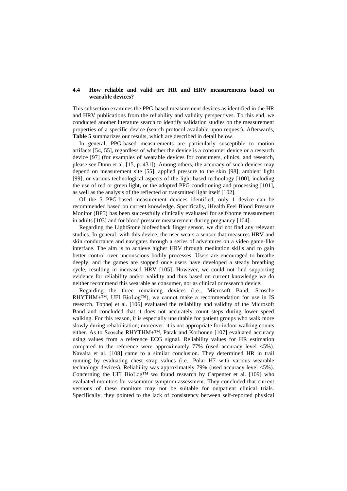#### **4.4 How reliable and valid are HR and HRV measurements based on wearable devices?**

This subsection examines the PPG-based measurement devices as identified in the HR and HRV publications from the reliability and validity perspectives. To this end, we conducted another literature search to identify validation studies on the measurement properties of a specific device (search protocol available upon request). Afterwards, **[Table 5](#page-11-1)** summarizes our results, which are described in detail below.

In general, PPG-based measurements are particularly susceptible to motion artifacts [54, 55], regardless of whether the device is a consumer device or a research device [97] (for examples of wearable devices for consumers, clinics, and research, please see Dunn et al. [15, p. 431]). Among others, the accuracy of such devices may depend on measurement site [55], applied pressure to the skin [98], ambient light [99], or various technological aspects of the light-based technology [100], including the use of red or green light, or the adopted PPG conditioning and processing [101], as well as the analysis of the reflected or transmitted light itself [102].

Of the 5 PPG-based measurement devices identified, only 1 device can be recommended based on current knowledge. Specifically, iHealth Feel Blood Pressure Monitor (BP5) has been successfully clinically evaluated for self/home measurement in adults [103] and for blood pressure measurement during pregnancy [104].

Regarding the LightStone biofeedback finger sensor, we did not find any relevant studies. In general, with this device, the user wears a sensor that measures HRV and skin conductance and navigates through a series of adventures on a video game-like interface. The aim is to achieve higher HRV through meditation skills and to gain better control over unconscious bodily processes. Users are encouraged to breathe deeply, and the games are stopped once users have developed a steady breathing cycle, resulting in increased HRV [105]. However, we could not find supporting evidence for reliability and/or validity and thus based on current knowledge we do neither recommend this wearable as consumer, nor as clinical or research device.

Regarding the three remaining devices (i.e., Microsoft Band, Scosche RHYTHM+ $TM$ , UFI BioLog $TM$ , we cannot make a recommendation for use in IS research. Tophøj et al. [106] evaluated the reliability and validity of the Microsoft Band and concluded that it does not accurately count steps during lower speed walking. For this reason, it is especially unsuitable for patient groups who walk more slowly during rehabilitation; moreover, it is not appropriate for indoor walking counts either. As to Scosche RHYTHM+™, Parak and Korhonen [107] evaluated accuracy using values from a reference ECG signal. Reliability values for HR estimation compared to the reference were approximately 77% (used accuracy level <5%). Navalta et al. [108] came to a similar conclusion. They determined HR in trail running by evaluating chest strap values (i.e., Polar H7 with various wearable technology devices). Reliability was approximately 79% (used accuracy level <5%). Concerning the UFI BioLog<sup>TM</sup> we found research by Carpenter et al. [109] who evaluated monitors for vasomotor symptom assessment. They concluded that current versions of these monitors may not be suitable for outpatient clinical trials. Specifically, they pointed to the lack of consistency between self-reported physical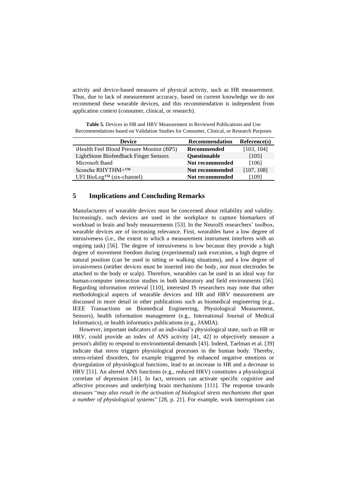activity and device-based measures of physical activity, such as HR measurement. Thus, due to lack of measurement accuracy, based on current knowledge we do not recommend these wearable devices, and this recommendation is independent from application context (consumer, clinical, or research).

<span id="page-11-1"></span>

| <b>Device</b>                                     | <b>Recommendation</b> | Reference(s) |
|---------------------------------------------------|-----------------------|--------------|
| <i>i</i> Health Feel Blood Pressure Monitor (BP5) | Recommended           | [103, 104]   |
| LightStone Biofeedback Finger Sensors             | <b>Ouestionable</b>   | [105]        |
| Microsoft Band                                    | Not recommended       | [106]        |
| Scosche RHYTHM $+TM$                              | Not recommended       | [107, 108]   |
| UFI BioLog <sup>TM</sup> (six-channel)            | Not recommended       | [109]        |

# <span id="page-11-0"></span>**5 Implications and Concluding Remarks**

Manufacturers of wearable devices must be concerned about reliability and validity. Increasingly, such devices are used in the workplace to capture biomarkers of workload in brain and body measurements [53]. In the NeuroIS researchers' toolbox, wearable devices are of increasing relevance. First, wearables have a low degree of intrusiveness (i.e., the extent to which a measurement instrument interferes with an ongoing task) [56]. The degree of intrusiveness is low because they provide a high degree of movement freedom during (experimental) task execution, a high degree of natural position (can be used in sitting or walking situations), and a low degree of invasiveness (neither devices must be inserted into the body, nor must electrodes be attached to the body or scalp). Therefore, wearables can be used in an ideal way for human-computer interaction studies in both laboratory and field environments [56]. Regarding information retrieval [110], interested IS researchers may note that other methodological aspects of wearable devices and HR and HRV measurement are discussed in more detail in other publications such as biomedical engineering (e.g., IEEE Transactions on Biomedical Engineering, Physiological Measurement, Sensors), health information management (e.g., International Journal of Medical Informatics), or health informatics publications (e.g., JAMIA).

However, important indicators of an individual's physiological state, such as HR or HRV, could provide an index of ANS activity [41, 42] to objectively measure a person's ability to respond to environmental demands [43]. Indeed, Taelman et al. [39] indicate that stress triggers physiological processes in the human body. Thereby, stress-related disorders, for example triggered by enhanced negative emotions or dysregulation of physiological functions, lead to an increase in HR and a decrease in HRV [51]. An altered ANS functions (e.g., reduced HRV) constitutes a physiological correlate of depression [41]. In fact, stressors can activate specific cognitive and affective processes and underlying brain mechanisms [111]. The response towards stressors "*may also result in the activation of biological stress mechanisms that span a number of physiological systems*" [28, p. 21]. For example, work interruptions can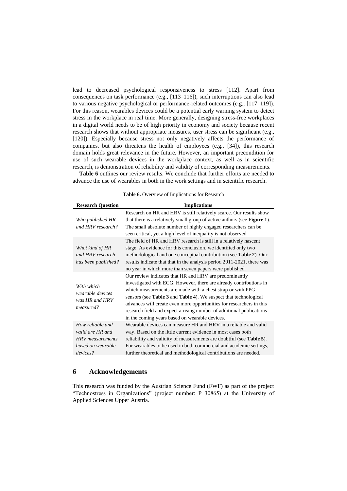lead to decreased psychological responsiveness to stress [112]. Apart from consequences on task performance (e.g., [113–116]), such interruptions can also lead to various negative psychological or performance-related outcomes (e.g., [117–119]). For this reason, wearables devices could be a potential early warning system to detect stress in the workplace in real time. More generally, designing stress-free workplaces in a digital world needs to be of high priority in economy and society because recent research shows that without appropriate measures, user stress can be significant (e.g., [120]). Especially because stress not only negatively affects the performance of companies, but also threatens the health of employees (e.g., [34]), this research domain holds great relevance in the future. However, an important precondition for use of such wearable devices in the workplace context, as well as in scientific research, is demonstration of reliability and validity of corresponding measurements.

<span id="page-12-0"></span>**[Table 6](#page-12-0)** outlines our review results. We conclude that further efforts are needed to advance the use of wearables in both in the work settings and in scientific research.

| <b>Research Question</b>                                                                  | <b>Implications</b>                                                                                                                                                                                                                                                                                                                                                                                                                                              |
|-------------------------------------------------------------------------------------------|------------------------------------------------------------------------------------------------------------------------------------------------------------------------------------------------------------------------------------------------------------------------------------------------------------------------------------------------------------------------------------------------------------------------------------------------------------------|
| Who published HR<br>and HRV research?                                                     | Research on HR and HRV is still relatively scarce. Our results show<br>that there is a relatively small group of active authors (see Figure 1).<br>The small absolute number of highly engaged researchers can be<br>seen critical, yet a high level of inequality is not observed.                                                                                                                                                                              |
| What kind of HR<br>and HRV research<br>has been published?                                | The field of HR and HRV research is still in a relatively nascent<br>stage. As evidence for this conclusion, we identified only two<br>methodological and one conceptual contribution (see Table 2). Our<br>results indicate that that in the analysis period 2011-2021, there was<br>no year in which more than seven papers were published.                                                                                                                    |
| With which<br>wearable devices<br>was HR and HRV<br>measured?                             | Our review indicates that HR and HRV are predominantly<br>investigated with ECG. However, there are already contributions in<br>which measurements are made with a chest strap or with PPG<br>sensors (see Table 3 and Table 4). We suspect that technological<br>advances will create even more opportunities for researchers in this<br>research field and expect a rising number of additional publications<br>in the coming years based on wearable devices. |
| How reliable and<br>valid are HR and<br>HRV measurements<br>based on wearable<br>devices? | Wearable devices can measure HR and HRV in a reliable and valid<br>way. Based on the little current evidence in most cases both<br>reliability and validity of measurements are doubtful (see <b>Table 5</b> ).<br>For wearables to be used in both commercial and academic settings,<br>further theoretical and methodological contributions are needed.                                                                                                        |

**Table 6.** Overview of Implications for Research

#### **6 Acknowledgements**

This research was funded by the Austrian Science Fund (FWF) as part of the project "Technostress in Organizations" (project number: P 30865) at the University of Applied Sciences Upper Austria.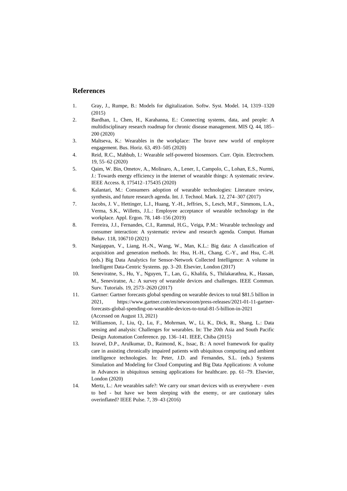## **References**

- 1. Gray, J., Rumpe, B.: Models for digitalization. Softw. Syst. Model. 14, 1319–1320 (2015)
- 2. Bardhan, I., Chen, H., Karahanna, E.: Connecting systems, data, and people: A multidisciplinary research roadmap for chronic disease management. MIS Q. 44, 185– 200 (2020)
- 3. Maltseva, K.: Wearables in the workplace: The brave new world of employee engagement. Bus. Horiz. 63, 493–505 (2020)
- 4. Reid, R.C., Mahbub, I.: Wearable self-powered biosensors. Curr. Opin. Electrochem. 19, 55–62 (2020)
- 5. Qaim, W. Bin, Ometov, A., Molinaro, A., Lener, I., Campolo, C., Lohan, E.S., Nurmi, J.: Towards energy efficiency in the internet of wearable things: A systematic review. IEEE Access. 8, 175412–175435 (2020)
- 6. Kalantari, M.: Consumers adoption of wearable technologies: Literature review, synthesis, and future research agenda. Int. J. Technol. Mark. 12, 274–307 (2017)
- 7. Jacobs, J. V., Hettinger, L.J., Huang, Y.-H., Jeffries, S., Lesch, M.F., Simmons, L.A., Verma, S.K., Willetts, J.L.: Employee acceptance of wearable technology in the workplace. Appl. Ergon. 78, 148–156 (2019)
- 8. Ferreira, J.J., Fernandes, C.I., Rammal, H.G., Veiga, P.M.: Wearable technology and consumer interaction: A systematic review and research agenda. Comput. Human Behav. 118, 106710 (2021)
- 9. Nanjappan, V., Liang, H.-N., Wang, W., Man, K.L.: Big data: A classification of acquisition and generation methods. In: Hsu, H.-H., Chang, C.-Y., and Hsu, C.-H. (eds.) Big Data Analytics for Sensor-Network Collected Intelligence: A volume in Intelligent Data-Centric Systems. pp. 3–20. Elsevier, London (2017)
- 10. Seneviratne, S., Hu, Y., Nguyen, T., Lan, G., Khalifa, S., Thilakarathna, K., Hassan, M., Seneviratne, A.: A survey of wearable devices and challenges. IEEE Commun. Surv. Tutorials. 19, 2573–2620 (2017)
- 11. Gartner: Gartner forecasts global spending on wearable devices to total \$81.5 billion in 2021, https://www.gartner.com/en/newsroom/press-releases/2021-01-11-gartnerforecasts-global-spending-on-wearable-devices-to-total-81-5-billion-in-2021 (Accessed on August 13, 2021)
- 12. Williamson, J., Liu, Q., Lu, F., Mohrman, W., Li, K., Dick, R., Shang, L.: Data sensing and analysis: Challenges for wearables. In: The 20th Asia and South Pacific Design Automation Conference. pp. 136–141. IEEE, Chiba (2015)
- 13. Isravel, D.P., Arulkumar, D., Raimond, K., Issac, B.: A novel framework for quality care in assisting chronically impaired patients with ubiquitous computing and ambient intelligence technologies. In: Peter, J.D. and Fernandes, S.L. (eds.) Systems Simulation and Modeling for Cloud Computing and Big Data Applications: A volume in Advances in ubiquitous sensing applications for healthcare. pp. 61–79. Elsevier, London (2020)
- 14. Mertz, L.: Are wearables safe?: We carry our smart devices with us everywhere even to bed - but have we been sleeping with the enemy, or are cautionary tales overinflated? IEEE Pulse. 7, 39–43 (2016)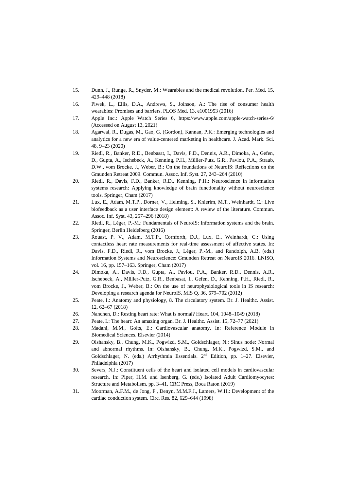- 15. Dunn, J., Runge, R., Snyder, M.: Wearables and the medical revolution. Per. Med. 15, 429–448 (2018)
- 16. Piwek, L., Ellis, D.A., Andrews, S., Joinson, A.: The rise of consumer health wearables: Promises and barriers. PLOS Med. 13, e1001953 (2016)
- 17. Apple Inc.: Apple Watch Series 6, https://www.apple.com/apple-watch-series-6/ (Accessed on August 13, 2021)
- 18. Agarwal, R., Dugas, M., Gao, G. (Gordon), Kannan, P.K.: Emerging technologies and analytics for a new era of value-centered marketing in healthcare. J. Acad. Mark. Sci. 48, 9–23 (2020)
- 19. Riedl, R., Banker, R.D., Benbasat, I., Davis, F.D., Dennis, A.R., Dimoka, A., Gefen, D., Gupta, A., Ischebeck, A., Kenning, P.H., Müller-Putz, G.R., Pavlou, P.A., Straub, D.W., vom Brocke, J., Weber, B.: On the foundations of NeuroIS: Reflections on the Gmunden Retreat 2009. Commun. Assoc. Inf. Syst. 27, 243–264 (2010)
- 20. Riedl, R., Davis, F.D., Banker, R.D., Kenning, P.H.: Neuroscience in information systems research: Applying knowledge of brain functionality without neuroscience tools. Springer, Cham (2017)
- 21. Lux, E., Adam, M.T.P., Dorner, V., Helming, S., Knierim, M.T., Weinhardt, C.: Live biofeedback as a user interface design element: A review of the literature. Commun. Assoc. Inf. Syst. 43, 257–296 (2018)
- 22. Riedl, R., Léger, P.-M.: Fundamentals of NeuroIS: Information systems and the brain. Springer, Berlin Heidelberg (2016)
- 23. Rouast, P. V., Adam, M.T.P., Cornforth, D.J., Lux, E., Weinhardt, C.: Using contactless heart rate measurements for real-time assessment of affective states. In: Davis, F.D., Riedl, R., vom Brocke, J., Léger, P.-M., and Randolph, A.B. (eds.) Information Systems and Neuroscience: Gmunden Retreat on NeuroIS 2016. LNISO, vol. 16, pp. 157–163. Springer, Cham (2017)
- 24. Dimoka, A., Davis, F.D., Gupta, A., Pavlou, P.A., Banker, R.D., Dennis, A.R., Ischebeck, A., Müller-Putz, G.R., Benbasat, I., Gefen, D., Kenning, P.H., Riedl, R., vom Brocke, J., Weber, B.: On the use of neurophysiological tools in IS research: Developing a research agenda for NeuroIS. MIS Q. 36, 679–702 (2012)
- 25. Peate, I.: Anatomy and physiology, 8. The circulatory system. Br. J. Healthc. Assist. 12, 62–67 (2018)
- 26. Nanchen, D.: Resting heart rate: What is normal? Heart. 104, 1048–1049 (2018)
- 27. Peate, I.: The heart: An amazing organ. Br. J. Healthc. Assist. 15, 72–77 (2021)
- 28. Madani, M.M., Golts, E.: Cardiovascular anatomy. In: Reference Module in Biomedical Sciences. Elsevier (2014)
- 29. Olshansky, B., Chung, M.K., Pogwizd, S.M., Goldschlager, N.: Sinus node: Normal and abnormal rhythms. In: Olshansky, B., Chung, M.K., Pogwizd, S.M., and Goldschlager, N. (eds.) Arrhythmia Essentials. 2<sup>nd</sup> Edition, pp. 1-27. Elsevier, Philadelphia (2017)
- 30. Severs, N.J.: Constituent cells of the heart and isolated cell models in cardiovascular research. In: Piper, H.M. and Isenberg, G. (eds.) Isolated Adult Cardiomyocytes: Structure and Metabolism. pp. 3–41. CRC Press, Boca Raton (2019)
- 31. Moorman, A.F.M., de Jong, F., Denyn, M.M.F.J., Lamers, W.H.: Development of the cardiac conduction system. Circ. Res. 82, 629–644 (1998)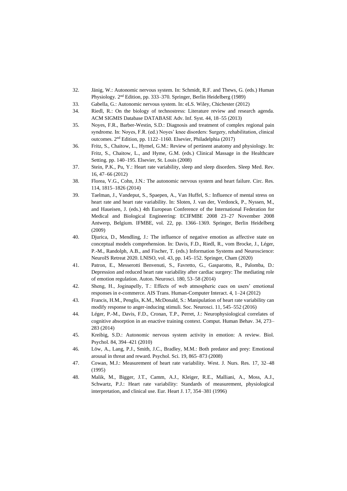- 32. Jänig, W.: Autonomic nervous system. In: Schmidt, R.F. and Thews, G. (eds.) Human Physiology. 2<sup>nd</sup> Edition, pp. 333-370. Springer, Berlin Heidelberg (1989)
- 33. Gabella, G.: Autonomic nervous system. In: eLS. Wiley, Chichester (2012)
- 34. Riedl, R.: On the biology of technostress: Literature review and research agenda. ACM SIGMIS Database DATABASE Adv. Inf. Syst. 44, 18–55 (2013)
- 35. Noyes, F.R., Barber-Westin, S.D.: Diagnosis and treatment of complex regional pain syndrome. In: Noyes, F.R. (ed.) Noyes' knee disorders: Surgery, rehabilitation, clinical outcomes. 2 nd Edition, pp. 1122–1160. Elsevier, Philadelphia (2017)
- 36. Fritz, S., Chaitow, L., Hymel, G.M.: Review of pertinent anatomy and physiology. In: Fritz, S., Chaitow, L., and Hyme, G.M. (eds.) Clinical Massage in the Healthcare Setting. pp. 140–195. Elsevier, St. Louis (2008)
- 37. Stein, P.K., Pu, Y.: Heart rate variability, sleep and sleep disorders. Sleep Med. Rev. 16, 47–66 (2012)
- 38. Florea, V.G., Cohn, J.N.: The autonomic nervous system and heart failure. Circ. Res. 114, 1815–1826 (2014)
- 39. Taelman, J., Vandeput, S., Spaepen, A., Van Huffel, S.: Influence of mental stress on heart rate and heart rate variability. In: Sloten, J. van der, Verdonck, P., Nyssen, M., and Haueisen, J. (eds.) 4th European Conference of the International Federation for Medical and Biological Engineering: ECIFMBE 2008 23–27 November 2008 Antwerp, Belgium. IFMBE, vol. 22, pp. 1366–1369. Springer, Berlin Heidelberg (2009)
- 40. Djurica, D., Mendling, J.: The influence of negative emotion as affective state on conceptual models comprehension. In: Davis, F.D., Riedl, R., vom Brocke, J., Léger, P.-M., Randolph, A.B., and Fischer, T. (eds.) Information Systems and Neuroscience: NeuroIS Retreat 2020. LNISO, vol. 43, pp. 145–152. Springer, Cham (2020)
- 41. Patron, E., Messerotti Benvenuti, S., Favretto, G., Gasparotto, R., Palomba, D.: Depression and reduced heart rate variability after cardiac surgery: The mediating role of emotion regulation. Auton. Neurosci. 180, 53–58 (2014)
- 42. Sheng, H., Joginapelly, T.: Effects of web atmospheric cues on users' emotional responses in e-commerce. AIS Trans. Human-Computer Interact. 4, 1–24 (2012)
- 43. Francis, H.M., Penglis, K.M., McDonald, S.: Manipulation of heart rate variability can modify response to anger-inducing stimuli. Soc. Neurosci. 11, 545–552 (2016)
- 44. Léger, P.-M., Davis, F.D., Cronan, T.P., Perret, J.: Neurophysiological correlates of cognitive absorption in an enactive training context. Comput. Human Behav. 34, 273– 283 (2014)
- 45. Kreibig, S.D.: Autonomic nervous system activity in emotion: A review. Biol. Psychol. 84, 394–421 (2010)
- 46. Löw, A., Lang, P.J., Smith, J.C., Bradley, M.M.: Both predator and prey: Emotional arousal in threat and reward. Psychol. Sci. 19, 865–873 (2008)
- 47. Cowan, M.J.: Measurement of heart rate variability. West. J. Nurs. Res. 17, 32–48 (1995)
- 48. Malik, M., Bigger, J.T., Camm, A.J., Kleiger, R.E., Malliani, A., Moss, A.J., Schwartz, P.J.: Heart rate variability: Standards of measurement, physiological interpretation, and clinical use. Eur. Heart J. 17, 354–381 (1996)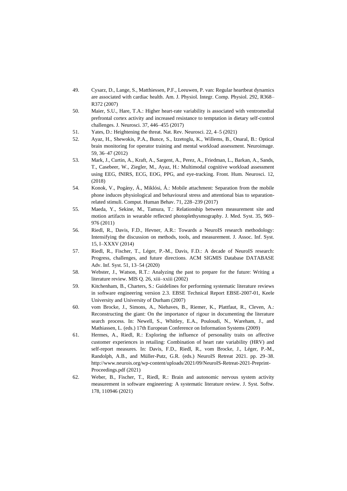- 49. Cysarz, D., Lange, S., Matthiessen, P.F., Leeuwen, P. van: Regular heartbeat dynamics are associated with cardiac health. Am. J. Physiol. Integr. Comp. Physiol. 292, R368– R372 (2007)
- 50. Maier, S.U., Hare, T.A.: Higher heart-rate variability is associated with ventromedial prefrontal cortex activity and increased resistance to temptation in dietary self-control challenges. J. Neurosci. 37, 446–455 (2017)
- 51. Yates, D.: Heightening the threat. Nat. Rev. Neurosci. 22, 4–5 (2021)
- 52. Ayaz, H., Shewokis, P.A., Bunce, S., Izzetoglu, K., Willems, B., Onaral, B.: Optical brain monitoring for operator training and mental workload assessment. Neuroimage. 59, 36–47 (2012)
- 53. Mark, J., Curtin, A., Kraft, A., Sargent, A., Perez, A., Friedman, L., Barkan, A., Sands, T., Casebeer, W., Ziegler, M., Ayaz, H.: Multimodal cognitive workload assessment using EEG, fNIRS, ECG, EOG, PPG, and eye-tracking. Front. Hum. Neurosci. 12, (2018)
- 54. Konok, V., Pogány, Á., Miklósi, Á.: Mobile attachment: Separation from the mobile phone induces physiological and behavioural stress and attentional bias to separationrelated stimuli. Comput. Human Behav. 71, 228–239 (2017)
- 55. Maeda, Y., Sekine, M., Tamura, T.: Relationship between measurement site and motion artifacts in wearable reflected photoplethysmography. J. Med. Syst. 35, 969– 976 (2011)
- 56. Riedl, R., Davis, F.D., Hevner, A.R.: Towards a NeuroIS research methodology: Intensifying the discussion on methods, tools, and measurement. J. Assoc. Inf. Syst. 15, I–XXXV (2014)
- 57. Riedl, R., Fischer, T., Léger, P.-M., Davis, F.D.: A decade of NeuroIS research: Progress, challenges, and future directions. ACM SIGMIS Database DATABASE Adv. Inf. Syst. 51, 13–54 (2020)
- 58. Webster, J., Watson, R.T.: Analyzing the past to prepare for the future: Writing a literature review. MIS Q. 26, xiii–xxiii (2002)
- 59. Kitchenham, B., Charters, S.: Guidelines for performing systematic literature reviews in software engineering version 2.3. EBSE Technical Report EBSE-2007-01, Keele University and University of Durham (2007)
- 60. vom Brocke, J., Simons, A., Niehaves, B., Riemer, K., Plattfaut, R., Cleven, A.: Reconstructing the giant: On the importance of rigour in documenting the literature search process. In: Newell, S., Whitley, E.A., Pouloudi, N., Wareham, J., and Mathiassen, L. (eds.) 17th European Conference on Information Systems (2009)
- 61. Hermes, A., Riedl, R.: Exploring the influence of personality traits on affective customer experiences in retailing: Combination of heart rate variability (HRV) and self-report measures. In: Davis, F.D., Riedl, R., vom Brocke, J., Léger, P.-M., Randolph, A.B., and Müller-Putz, G.R. (eds.) NeuroIS Retreat 2021. pp. 29–38. http://www.neurois.org/wp-content/uploads/2021/09/NeuroIS-Retreat-2021-Preprint-Proceedings.pdf (2021)
- 62. Weber, B., Fischer, T., Riedl, R.: Brain and autonomic nervous system activity measurement in software engineering: A systematic literature review. J. Syst. Softw. 178, 110946 (2021)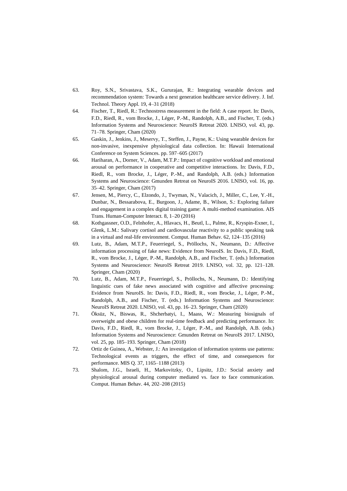- 63. Roy, S.N., Srivastava, S.K., Gururajan, R.: Integrating wearable devices and recommendation system: Towards a next generation healthcare service delivery. J. Inf. Technol. Theory Appl. 19, 4–31 (2018)
- 64. Fischer, T., Riedl, R.: Technostress measurement in the field: A case report. In: Davis, F.D., Riedl, R., vom Brocke, J., Léger, P.-M., Randolph, A.B., and Fischer, T. (eds.) Information Systems and Neuroscience: NeuroIS Retreat 2020. LNISO, vol. 43, pp. 71–78. Springer, Cham (2020)
- 65. Gaskin, J., Jenkins, J., Meservy, T., Steffen, J., Payne, K.: Using wearable devices for non-invasive, inexpensive physiological data collection. In: Hawaii International Conference on System Sciences. pp. 597–605 (2017)
- 66. Hariharan, A., Dorner, V., Adam, M.T.P.: Impact of cognitive workload and emotional arousal on performance in cooperative and competitive interactions. In: Davis, F.D., Riedl, R., vom Brocke, J., Léger, P.-M., and Randolph, A.B. (eds.) Information Systems and Neuroscience: Gmunden Retreat on NeuroIS 2016. LNISO, vol. 16, pp. 35–42. Springer, Cham (2017)
- 67. Jensen, M., Piercy, C., Elzondo, J., Twyman, N., Valacich, J., Miller, C., Lee, Y.-H., Dunbar, N., Bessarabova, E., Burgoon, J., Adame, B., Wilson, S.: Exploring failure and engagement in a complex digital training game: A multi-method examination. AIS Trans. Human-Computer Interact. 8, 1–20 (2016)
- 68. Kothgassner, O.D., Felnhofer, A., Hlavacs, H., Beutl, L., Palme, R., Kryspin-Exner, I., Glenk, L.M.: Salivary cortisol and cardiovascular reactivity to a public speaking task in a virtual and real-life environment. Comput. Human Behav. 62, 124–135 (2016)
- 69. Lutz, B., Adam, M.T.P., Feuerriegel, S., Pröllochs, N., Neumann, D.: Affective information processing of fake news: Evidence from NeuroIS. In: Davis, F.D., Riedl, R., vom Brocke, J., Léger, P.-M., Randolph, A.B., and Fischer, T. (eds.) Information Systems and Neuroscience: NeuroIS Retreat 2019. LNISO, vol. 32, pp. 121–128. Springer, Cham (2020)
- 70. Lutz, B., Adam, M.T.P., Feuerriegel, S., Pröllochs, N., Neumann, D.: Identifying linguistic cues of fake news associated with cognitive and affective processing: Evidence from NeuroIS. In: Davis, F.D., Riedl, R., vom Brocke, J., Léger, P.-M., Randolph, A.B., and Fischer, T. (eds.) Information Systems and Neuroscience: NeuroIS Retreat 2020. LNISO, vol. 43, pp. 16–23. Springer, Cham (2020)
- 71. Öksüz, N., Biswas, R., Shcherbatyi, I., Maass, W.: Measuring biosignals of overweight and obese children for real-time feedback and predicting performance. In: Davis, F.D., Riedl, R., vom Brocke, J., Léger, P.-M., and Randolph, A.B. (eds.) Information Systems and Neuroscience: Gmunden Retreat on NeuroIS 2017. LNISO, vol. 25, pp. 185–193. Springer, Cham (2018)
- 72. Ortiz de Guinea, A., Webster, J.: An investigation of information systems use patterns: Technological events as triggers, the effect of time, and consequences for performance. MIS Q. 37, 1165–1188 (2013)
- 73. Shalom, J.G., Israeli, H., Markovitzky, O., Lipsitz, J.D.: Social anxiety and physiological arousal during computer mediated vs. face to face communication. Comput. Human Behav. 44, 202–208 (2015)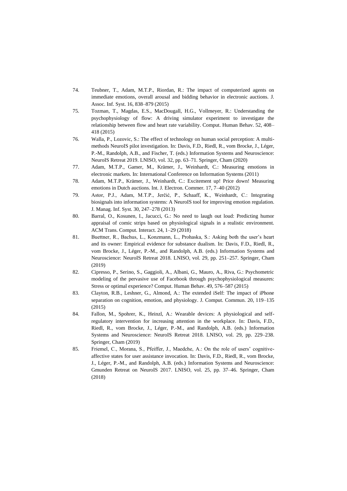- 74. Teubner, T., Adam, M.T.P., Riordan, R.: The impact of computerized agents on immediate emotions, overall arousal and bidding behavior in electronic auctions. J. Assoc. Inf. Syst. 16, 838–879 (2015)
- 75. Tozman, T., Magdas, E.S., MacDougall, H.G., Vollmeyer, R.: Understanding the psychophysiology of flow: A driving simulator experiment to investigate the relationship between flow and heart rate variability. Comput. Human Behav. 52, 408– 418 (2015)
- 76. Walla, P., Lozovic, S.: The effect of technology on human social perception: A multimethods NeuroIS pilot investigation. In: Davis, F.D., Riedl, R., vom Brocke, J., Léger, P.-M., Randolph, A.B., and Fischer, T. (eds.) Information Systems and Neuroscience: NeuroIS Retreat 2019. LNISO, vol. 32, pp. 63–71. Springer, Cham (2020)
- 77. Adam, M.T.P., Gamer, M., Krämer, J., Weinhardt, C.: Measuring emotions in electronic markets. In: International Conference on Information Systems (2011)
- 78. Adam, M.T.P., Krämer, J., Weinhardt, C.: Excitement up! Price down! Measuring emotions in Dutch auctions. Int. J. Electron. Commer. 17, 7–40 (2012)
- 79. Astor, P.J., Adam, M.T.P., Jerčić, P., Schaaff, K., Weinhardt, C.: Integrating biosignals into information systems: A NeuroIS tool for improving emotion regulation. J. Manag. Inf. Syst. 30, 247–278 (2013)
- 80. Barral, O., Kosunen, I., Jacucci, G.: No need to laugh out loud: Predicting humor appraisal of comic strips based on physiological signals in a realistic environment. ACM Trans. Comput. Interact. 24, 1–29 (2018)
- 81. Buettner, R., Bachus, L., Konzmann, L., Prohaska, S.: Asking both the user's heart and its owner: Empirical evidence for substance dualism. In: Davis, F.D., Riedl, R., vom Brocke, J., Léger, P.-M., and Randolph, A.B. (eds.) Information Systems and Neuroscience: NeuroIS Retreat 2018. LNISO, vol. 29, pp. 251–257. Springer, Cham (2019)
- 82. Cipresso, P., Serino, S., Gaggioli, A., Albani, G., Mauro, A., Riva, G.: Psychometric modeling of the pervasive use of Facebook through psychophysiological measures: Stress or optimal experience? Comput. Human Behav. 49, 576–587 (2015)
- 83. Clayton, R.B., Leshner, G., Almond, A.: The extended iSelf: The impact of iPhone separation on cognition, emotion, and physiology. J. Comput. Commun. 20, 119–135 (2015)
- 84. Fallon, M., Spohrer, K., Heinzl, A.: Wearable devices: A physiological and selfregulatory intervention for increasing attention in the workplace. In: Davis, F.D., Riedl, R., vom Brocke, J., Léger, P.-M., and Randolph, A.B. (eds.) Information Systems and Neuroscience: NeuroIS Retreat 2018. LNISO, vol. 29, pp. 229–238. Springer, Cham (2019)
- 85. Friemel, C., Morana, S., Pfeiffer, J., Maedche, A.: On the role of users' cognitiveaffective states for user assistance invocation. In: Davis, F.D., Riedl, R., vom Brocke, J., Léger, P.-M., and Randolph, A.B. (eds.) Information Systems and Neuroscience: Gmunden Retreat on NeuroIS 2017. LNISO, vol. 25, pp. 37–46. Springer, Cham (2018)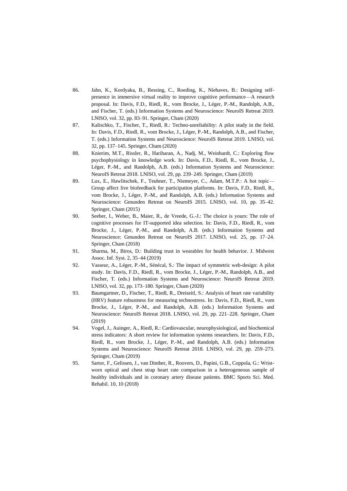- 86. Jahn, K., Kordyaka, B., Ressing, C., Roeding, K., Niehaves, B.: Designing selfpresence in immersive virtual reality to improve cognitive performance—A research proposal. In: Davis, F.D., Riedl, R., vom Brocke, J., Léger, P.-M., Randolph, A.B., and Fischer, T. (eds.) Information Systems and Neuroscience: NeuroIS Retreat 2019. LNISO, vol. 32, pp. 83–91. Springer, Cham (2020)
- 87. Kalischko, T., Fischer, T., Riedl, R.: Techno-unreliability: A pilot study in the field. In: Davis, F.D., Riedl, R., vom Brocke, J., Léger, P.-M., Randolph, A.B., and Fischer, T. (eds.) Information Systems and Neuroscience: NeuroIS Retreat 2019. LNISO, vol. 32, pp. 137–145. Springer, Cham (2020)
- 88. Knierim, M.T., Rissler, R., Hariharan, A., Nadj, M., Weinhardt, C.: Exploring flow psychophysiology in knowledge work. In: Davis, F.D., Riedl, R., vom Brocke, J., Léger, P.-M., and Randolph, A.B. (eds.) Information Systems and Neuroscience: NeuroIS Retreat 2018. LNISO, vol. 29, pp. 239–249. Springer, Cham (2019)
- 89. Lux, E., Hawlitschek, F., Teubner, T., Niemeyer, C., Adam, M.T.P.: A hot topic— Group affect live biofeedback for participation platforms. In: Davis, F.D., Riedl, R., vom Brocke, J., Léger, P.-M., and Randolph, A.B. (eds.) Information Systems and Neuroscience: Gmunden Retreat on NeuroIS 2015. LNISO, vol. 10, pp. 35–42. Springer, Cham (2015)
- 90. Seeber, I., Weber, B., Maier, R., de Vreede, G.-J.: The choice is yours: The role of cognitive processes for IT-supported idea selection. In: Davis, F.D., Riedl, R., vom Brocke, J., Léger, P.-M., and Randolph, A.B. (eds.) Information Systems and Neuroscience: Gmunden Retreat on NeuroIS 2017. LNISO, vol. 25, pp. 17–24. Springer, Cham (2018)
- 91. Sharma, M., Biros, D.: Building trust in wearables for health behavior. J. Midwest Assoc. Inf. Syst. 2, 35–44 (2019)
- 92. Vasseur, A., Léger, P.-M., Sénécal, S.: The impact of symmetric web-design: A pilot study. In: Davis, F.D., Riedl, R., vom Brocke, J., Léger, P.-M., Randolph, A.B., and Fischer, T. (eds.) Information Systems and Neuroscience: NeuroIS Retreat 2019. LNISO, vol. 32, pp. 173–180. Springer, Cham (2020)
- 93. Baumgartner, D., Fischer, T., Riedl, R., Dreiseitl, S.: Analysis of heart rate variability (HRV) feature robustness for measuring technostress. In: Davis, F.D., Riedl, R., vom Brocke, J., Léger, P.-M., and Randolph, A.B. (eds.) Information Systems and Neuroscience: NeuroIS Retreat 2018. LNISO, vol. 29, pp. 221–228. Springer, Cham (2019)
- 94. Vogel, J., Auinger, A., Riedl, R.: Cardiovascular, neurophysiological, and biochemical stress indicators: A short review for information systems researchers. In: Davis, F.D., Riedl, R., vom Brocke, J., Léger, P.-M., and Randolph, A.B. (eds.) Information Systems and Neuroscience: NeuroIS Retreat 2018. LNISO, vol. 29, pp. 259–273. Springer, Cham (2019)
- 95. Sartor, F., Gelissen, J., van Dinther, R., Roovers, D., Papini, G.B., Coppola, G.: Wristworn optical and chest strap heart rate comparison in a heterogeneous sample of healthy individuals and in coronary artery disease patients. BMC Sports Sci. Med. Rehabil. 10, 10 (2018)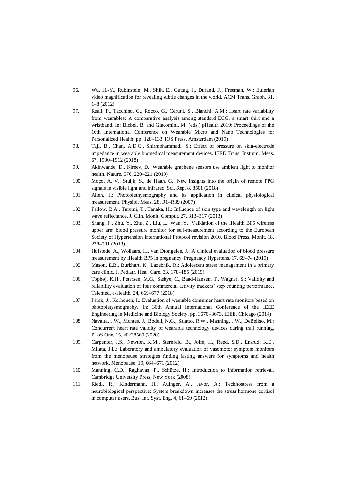- 96. Wu, H.-Y., Rubinstein, M., Shih, E., Guttag, J., Durand, F., Freeman, W.: Eulerian video magnification for revealing subtle changes in the world. ACM Trans. Graph. 31, 1–8 (2012)
- 97. Reali, P., Tacchino, G., Rocco, G., Cerutti, S., Bianchi, A.M.: Heart rate variability from wearables: A comparative analysis among standard ECG, a smart shirt and a wristband. In: Blobel, B. and Giacomini, M. (eds.) pHealth 2019: Proceedings of the 16th International Conference on Wearable Micro and Nano Technologies for Personalized Health. pp. 128–133. IOS Press, Amsterdam (2019)
- 98. Taji, B., Chan, A.D.C., Shirmohammadi, S.: Effect of pressure on skin-electrode impedance in wearable biomedical measurement devices. IEEE Trans. Instrum. Meas. 67, 1900–1912 (2018)
- 99. Akinwande, D., Kireev, D.: Wearable graphene sensors use ambient light to monitor health. Nature. 576, 220–221 (2019)
- 100. Moço, A. V., Stuijk, S., de Haan, G.: New insights into the origin of remote PPG signals in visible light and infrared. Sci. Rep. 8, 8501 (2018)
- 101. Allen, J.: Photoplethysmography and its application in clinical physiological measurement. Physiol. Meas. 28, R1–R39 (2007)
- 102. Fallow, B.A., Tarumi, T., Tanaka, H.: Influence of skin type and wavelength on light wave reflectance. J. Clin. Monit. Comput. 27, 313–317 (2013)
- 103. Shang, F., Zhu, Y., Zhu, Z., Liu, L., Wan, Y.: Validation of the iHealth BP5 wireless upper arm blood pressure monitor for self-measurement according to the European Society of Hypertension International Protocol revision 2010. Blood Press. Monit. 18, 278–281 (2013)
- 104. Hofstede, A., Wollaars, H., van Drongelen, J.: A clinical evaluation of blood pressure measurement by iHealth BP5 in pregnancy. Pregnancy Hypertens. 17, 69–74 (2019)
- 105. Mason, E.B., Burkhart, K., Lazebnik, R.: Adolescent stress management in a primary care clinic. J. Pediatr. Heal. Care. 33, 178–185 (2019)
- 106. Tophøj, K.H., Petersen, M.G., Sæbye, C., Baad-Hansen, T., Wagner, S.: Validity and reliability evaluation of four commercial activity trackers' step counting performance. Telemed. e-Health. 24, 669–677 (2018)
- 107. Parak, J., Korhonen, I.: Evaluation of wearable consumer heart rate monitors based on photopletysmography. In: 36th Annual International Conference of the IEEE Engineering in Medicine and Biology Society. pp. 3670–3673. IEEE, Chicago (2014)
- 108. Navalta, J.W., Montes, J., Bodell, N.G., Salatto, R.W., Manning, J.W., DeBeliso, M.: Concurrent heart rate validity of wearable technology devices during trail running. PLoS One. 15, e0238569 (2020)
- 109. Carpenter, J.S., Newton, K.M., Sternfeld, B., Joffe, H., Reed, S.D., Ensrud, K.E., Milata, J.L.: Laboratory and ambulatory evaluation of vasomotor symptom monitors from the menopause strategies finding lasting answers for symptoms and health network. Menopause. 19, 664–671 (2012)
- 110. Manning, C.D., Raghavan, P., Schütze, H.: Introduction to information retrieval. Cambridge University Press, New York (2008)
- 111. Riedl, R., Kindermann, H., Auinger, A., Javor, A.: Technostress from a neurobiological perspective: System breakdown increases the stress hormone cortisol in computer users. Bus. Inf. Syst. Eng. 4, 61–69 (2012)